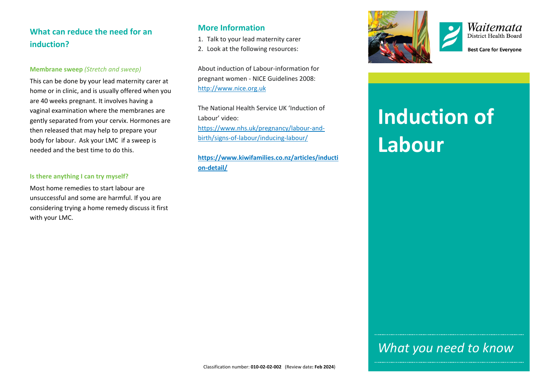# **What can reduce the need for an induction?**

#### **Membrane sweep** *(Stretch and sweep)*

This can be done by your lead maternity carer at home or in clinic, and is usually offered when you are 40 weeks pregnant. It involves having a vaginal examination where the membranes are gently separated from your cervix. Hormones are then released that may help to prepare your body for labour. Ask your LMC if a sweep is needed and the best time to do this.

#### **Is there anything I can try myself?**

Most home remedies to start labour are unsuccessful and some are harmful. If you are considering trying a home remedy discuss it first with your LMC.

### **More Information**

- 1. Talk to your lead maternity carer
- 2. Look at the following resources:

About induction of Labour-information for pregnant women - NICE Guidelines 2008: [http://www.nice.org.uk](http://www.nice.org.uk/)

The National Health Service UK 'Induction of Labour' video: [https://www.nhs.uk/pregnancy/labour-and](https://www.nhs.uk/pregnancy/labour-and-birth/signs-of-labour/inducing-labour/)[birth/signs-of-labour/inducing-labour/](https://www.nhs.uk/pregnancy/labour-and-birth/signs-of-labour/inducing-labour/)

**[https://www.kiwifamilies.co.nz/articles/inducti](https://www.kiwifamilies.co.nz/articles/induction-detail/) [on-detail/](https://www.kiwifamilies.co.nz/articles/induction-detail/)**





**Best Care for Everyone** 

# **Induction of Labour**

# *What you need to know*